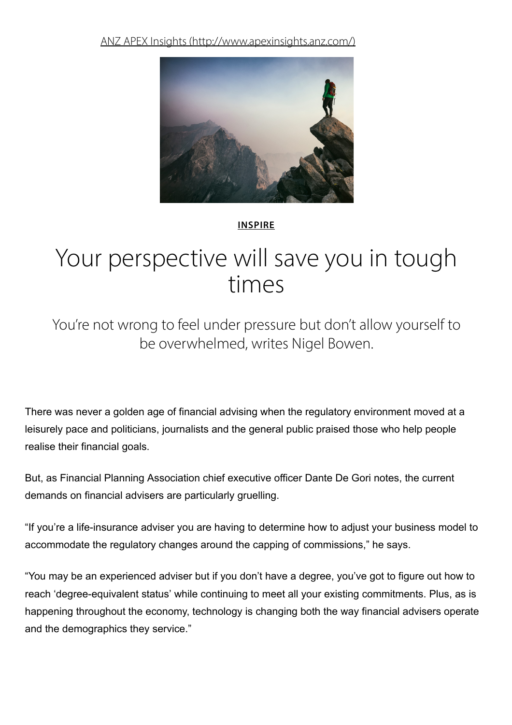ANZ APEX Insights [\(http://www.apexinsights.anz.com/\)](http://www.apexinsights.anz.com/)



#### [INSPIRE](http://www.apexinsights.anz.com/inspire)

# Your perspective will save you in tough times

You're not wrong to feel under pressure but don't allow yourself to be overwhelmed, writes Nigel Bowen.

There was never a golden age of financial advising when the regulatory environment moved at a leisurely pace and politicians, journalists and the general public praised those who help people realise their financial goals.

But, as Financial Planning Association chief executive officer Dante De Gori notes, the current demands on financial advisers are particularly gruelling.

"If you're a life-insurance adviser you are having to determine how to adjust your business model to accommodate the regulatory changes around the capping of commissions," he says.

"You may be an experienced adviser but if you don't have a degree, you've got to figure out how to reach 'degree-equivalent status' while continuing to meet all your existing commitments. Plus, as is happening throughout the economy, technology is changing both the way financial advisers operate and the demographics they service."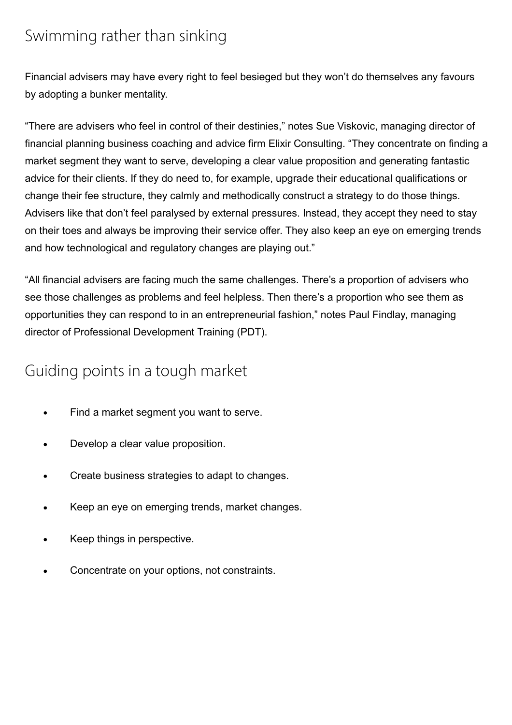### Swimming rather than sinking

Financial advisers may have every right to feel besieged but they won't do themselves any favours by adopting a bunker mentality.

"There are advisers who feel in control of their destinies," notes Sue Viskovic, managing director of financial planning business coaching and advice firm Elixir Consulting. "They concentrate on finding a market segment they want to serve, developing a clear value proposition and generating fantastic advice for their clients. If they do need to, for example, upgrade their educational qualifications or change their fee structure, they calmly and methodically construct a strategy to do those things. Advisers like that don't feel paralysed by external pressures. Instead, they accept they need to stay on their toes and always be improving their service offer. They also keep an eye on emerging trends and how technological and regulatory changes are playing out."

"All financial advisers are facing much the same challenges. There's a proportion of advisers who see those challenges as problems and feel helpless. Then there's a proportion who see them as opportunities they can respond to in an entrepreneurial fashion," notes Paul Findlay, managing director of Professional Development Training (PDT).

#### Guiding points in a tough market

- Find a market segment you want to serve.  $\bullet$
- Develop a clear value proposition.
- Create business strategies to adapt to changes.
- Keep an eye on emerging trends, market changes.
- Keep things in perspective.
- Concentrate on your options, not constraints.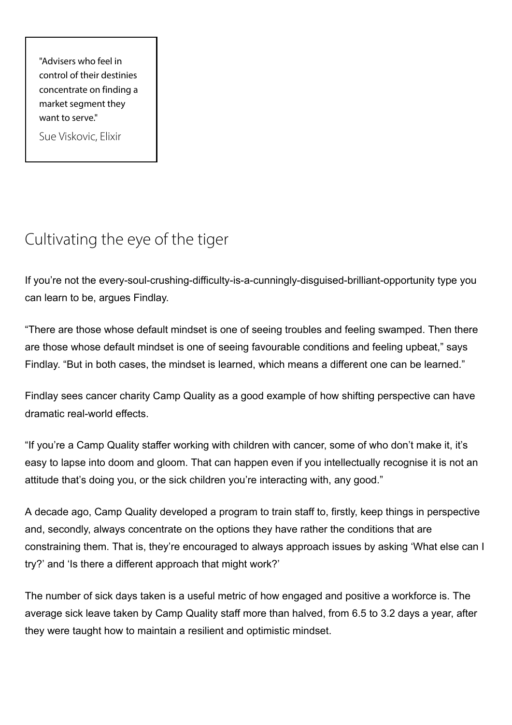"Advisers who feel in control of their destinies concentrate on finding a market segment they want to serve."

Sue Viskovic, Elixir

## Cultivating the eye of the tiger

If you're not the every-soul-crushing-difficulty-is-a-cunningly-disguised-brilliant-opportunity type you can learn to be, argues Findlay.

"There are those whose default mindset is one of seeing troubles and feeling swamped. Then there are those whose default mindset is one of seeing favourable conditions and feeling upbeat," says Findlay. "But in both cases, the mindset is learned, which means a different one can be learned."

Findlay sees cancer charity Camp Quality as a good example of how shifting perspective can have dramatic real-world effects.

"If you're a Camp Quality staffer working with children with cancer, some of who don't make it, it's easy to lapse into doom and gloom. That can happen even if you intellectually recognise it is not an attitude that's doing you, or the sick children you're interacting with, any good."

A decade ago, Camp Quality developed a program to train staff to, firstly, keep things in perspective and, secondly, always concentrate on the options they have rather the conditions that are constraining them. That is, they're encouraged to always approach issues by asking 'What else can I try?' and 'Is there a different approach that might work?'

The number of sick days taken is a useful metric of how engaged and positive a workforce is. The average sick leave taken by Camp Quality staff more than halved, from 6.5 to 3.2 days a year, after they were taught how to maintain a resilient and optimistic mindset.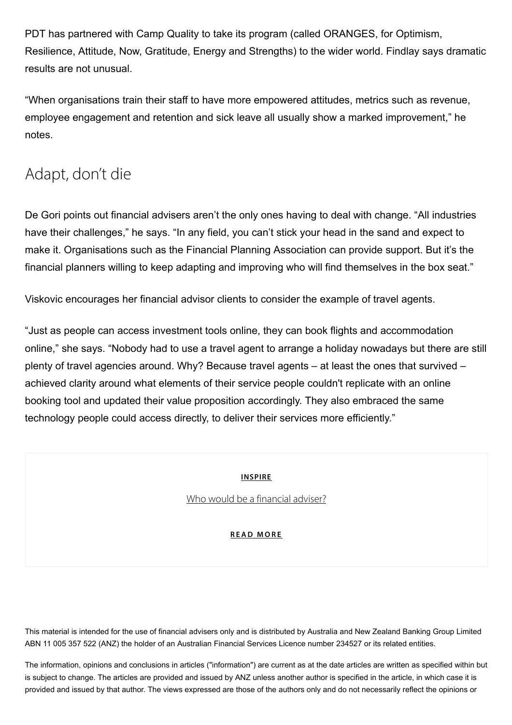PDT has partnered with Camp Quality to take its program (called ORANGES, for Optimism, Resilience, Attitude, Now, Gratitude, Energy and Strengths) to the wider world. Findlay says dramatic results are not unusual.

"When organisations train their staff to have more empowered attitudes, metrics such as revenue, employee engagement and retention and sick leave all usually show a marked improvement," he notes.

### Adapt, don't die

De Gori points out financial advisers aren't the only ones having to deal with change. "All industries have their challenges," he says. "In any field, you can't stick your head in the sand and expect to make it. Organisations such as the Financial Planning Association can provide support. But it's the financial planners willing to keep adapting and improving who will find themselves in the box seat."

Viskovic encourages her financial advisor clients to consider the example of travel agents.

"Just as people can access investment tools online, they can book flights and accommodation online," she says. "Nobody had to use a travel agent to arrange a holiday nowadays but there are still plenty of travel agencies around. Why? Because travel agents – at least the ones that survived – achieved clarity around what elements of their service people couldn't replicate with an online booking tool and updated their value proposition accordingly. They also embraced the same technology people could access directly, to deliver their services more efficiently."

[INSPIRE](http://www.apexinsights.anz.com/inspire)

Who would be a [financial](http://www.apexinsights.anz.com/inspire/who-would-be-a-financial-adviser) adviser?

#### RE[AD](http://www.apexinsights.anz.com/inspire/who-would-be-a-financial-adviser) MORE

This material is intended for the use of financial advisers only and is distributed by Australia and New Zealand Banking Group Limited ABN 11 005 357 522 (ANZ) the holder of an Australian Financial Services Licence number 234527 or its related entities.

The information, opinions and conclusions in articles ("information") are current as at the date articles are written as specified within but is subject to change. The articles are provided and issued by ANZ unless another author is specified in the article, in which case it is provided and issued by that author. The views expressed are those of the authors only and do not necessarily reflect the opinions or